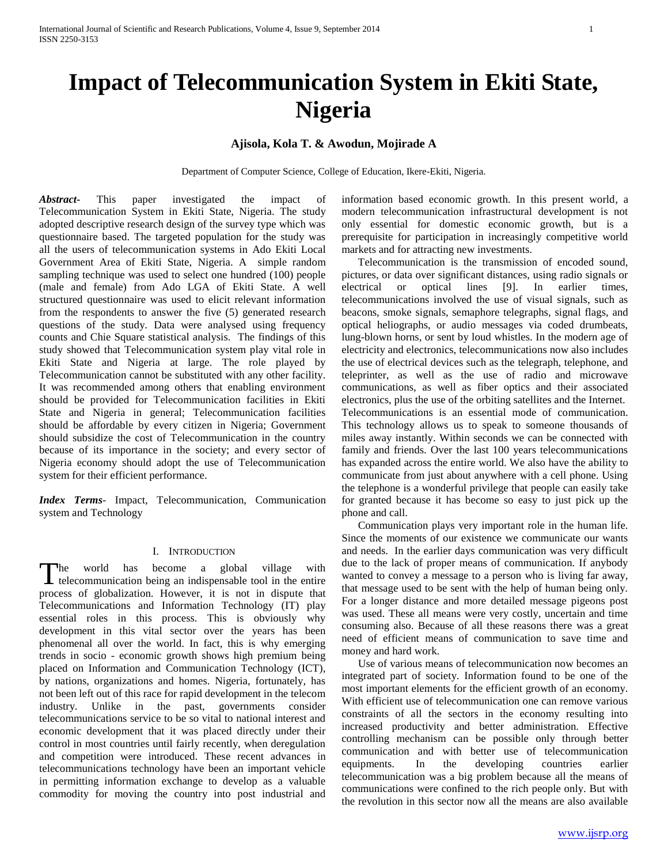# **Ajisola, Kola T. & Awodun, Mojirade A**

Department of Computer Science, College of Education, Ikere-Ekiti, Nigeria.

*Abstract***-** This paper investigated the impact of Telecommunication System in Ekiti State, Nigeria. The study adopted descriptive research design of the survey type which was questionnaire based. The targeted population for the study was all the users of telecommunication systems in Ado Ekiti Local Government Area of Ekiti State, Nigeria. A simple random sampling technique was used to select one hundred (100) people (male and female) from Ado LGA of Ekiti State. A well structured questionnaire was used to elicit relevant information from the respondents to answer the five (5) generated research questions of the study. Data were analysed using frequency counts and Chie Square statistical analysis. The findings of this study showed that Telecommunication system play vital role in Ekiti State and Nigeria at large. The role played by Telecommunication cannot be substituted with any other facility. It was recommended among others that enabling environment should be provided for Telecommunication facilities in Ekiti State and Nigeria in general; Telecommunication facilities should be affordable by every citizen in Nigeria; Government should subsidize the cost of Telecommunication in the country because of its importance in the society; and every sector of Nigeria economy should adopt the use of Telecommunication system for their efficient performance.

*Index Terms*- Impact, Telecommunication, Communication system and Technology

### I. INTRODUCTION

The world has become a global village with The world has become a global village with telecommunication being an indispensable tool in the entire process of globalization. However, it is not in dispute that Telecommunications and Information Technology (IT) play essential roles in this process. This is obviously why development in this vital sector over the years has been phenomenal all over the world. In fact, this is why emerging trends in socio - economic growth shows high premium being placed on Information and Communication Technology (ICT), by nations, organizations and homes. Nigeria, fortunately, has not been left out of this race for rapid development in the telecom industry. Unlike in the past, governments consider telecommunications service to be so vital to national interest and economic development that it was placed directly under their control in most countries until fairly recently, when deregulation and competition were introduced. These recent advances in telecommunications technology have been an important vehicle in permitting information exchange to develop as a valuable commodity for moving the country into post industrial and

information based economic growth. In this present world, a modern telecommunication infrastructural development is not only essential for domestic economic growth, but is a prerequisite for participation in increasingly competitive world markets and for attracting new investments.

 Telecommunication is the transmission of encoded sound, pictures, or data over significant distances, using radio signals or electrical or optical lines [9]. In earlier times, telecommunications involved the use of visual signals, such as beacons, smoke signals, semaphore telegraphs, signal flags, and optical heliographs, or audio messages via coded drumbeats, lung-blown horns, or sent by loud whistles. In the modern age of electricity and electronics, telecommunications now also includes the use of electrical devices such as the telegraph, telephone, and teleprinter, as well as the use of radio and microwave communications, as well as fiber optics and their associated electronics, plus the use of the orbiting satellites and the Internet. Telecommunications is an essential mode of communication. This technology allows us to speak to someone thousands of miles away instantly. Within seconds we can be connected with family and friends. Over the last 100 years telecommunications has expanded across the entire world. We also have the ability to communicate from just about anywhere with a cell phone. Using the telephone is a wonderful privilege that people can easily take for granted because it has become so easy to just pick up the phone and call.

 Communication plays very important role in the human life. Since the moments of our existence we communicate our wants and needs. In the earlier days communication was very difficult due to the lack of proper means of communication. If anybody wanted to convey a message to a person who is living far away, that message used to be sent with the help of human being only. For a longer distance and more detailed message pigeons post was used. These all means were very costly, uncertain and time consuming also. Because of all these reasons there was a great need of efficient means of communication to save time and money and hard work.

 Use of various means of telecommunication now becomes an integrated part of society. Information found to be one of the most important elements for the efficient growth of an economy. With efficient use of telecommunication one can remove various constraints of all the sectors in the economy resulting into increased productivity and better administration. Effective controlling mechanism can be possible only through better communication and with better use of telecommunication equipments. In the developing countries earlier telecommunication was a big problem because all the means of communications were confined to the rich people only. But with the revolution in this sector now all the means are also available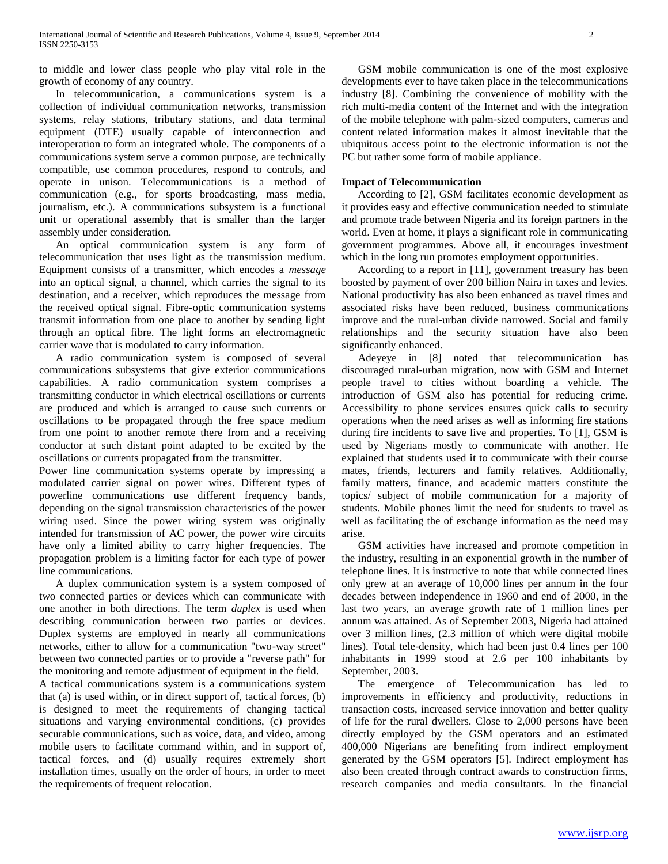to middle and lower class people who play vital role in the growth of economy of any country.

 In telecommunication, a communications system is a collection of individual communication networks, transmission systems, relay stations, tributary stations, and data terminal equipment (DTE) usually capable of interconnection and interoperation to form an integrated whole. The components of a communications system serve a common purpose, are technically compatible, use common procedures, respond to controls, and operate in unison. Telecommunications is a method of communication (e.g., for sports broadcasting, mass media, journalism, etc.). A communications subsystem is a functional unit or operational assembly that is smaller than the larger assembly under consideration.

 An optical communication system is any form of telecommunication that uses light as the transmission medium. Equipment consists of a transmitter, which encodes a *message* into an optical signal, a channel, which carries the signal to its destination, and a receiver, which reproduces the message from the received optical signal. Fibre-optic communication systems transmit information from one place to another by sending light through an optical fibre. The light forms an electromagnetic carrier wave that is modulated to carry information.

 A radio communication system is composed of several communications subsystems that give exterior communications capabilities. A radio communication system comprises a transmitting conductor in which electrical oscillations or currents are produced and which is arranged to cause such currents or oscillations to be propagated through the free space medium from one point to another remote there from and a receiving conductor at such distant point adapted to be excited by the oscillations or currents propagated from the transmitter.

Power line communication systems operate by impressing a modulated carrier signal on power wires. Different types of powerline communications use different frequency bands, depending on the signal transmission characteristics of the power wiring used. Since the power wiring system was originally intended for transmission of AC power, the power wire circuits have only a limited ability to carry higher frequencies. The propagation problem is a limiting factor for each type of power line communications.

 A duplex communication system is a system composed of two connected parties or devices which can communicate with one another in both directions. The term *duplex* is used when describing communication between two parties or devices. Duplex systems are employed in nearly all communications networks, either to allow for a communication "two-way street" between two connected parties or to provide a "reverse path" for the monitoring and remote adjustment of equipment in the field.

A tactical communications system is a communications system that (a) is used within, or in direct support of, tactical forces, (b) is designed to meet the requirements of changing tactical situations and varying environmental conditions, (c) provides securable communications, such as voice, data, and video, among mobile users to facilitate command within, and in support of, tactical forces, and (d) usually requires extremely short installation times, usually on the order of hours, in order to meet the requirements of frequent relocation.

 GSM mobile communication is one of the most explosive developments ever to have taken place in the telecommunications industry [8]. Combining the convenience of mobility with the rich multi-media content of the Internet and with the integration of the mobile telephone with palm-sized computers, cameras and content related information makes it almost inevitable that the ubiquitous access point to the electronic information is not the PC but rather some form of mobile appliance.

### **Impact of Telecommunication**

 According to [2], GSM facilitates economic development as it provides easy and effective communication needed to stimulate and promote trade between Nigeria and its foreign partners in the world. Even at home, it plays a significant role in communicating government programmes. Above all, it encourages investment which in the long run promotes employment opportunities.

 According to a report in [11], government treasury has been boosted by payment of over 200 billion Naira in taxes and levies. National productivity has also been enhanced as travel times and associated risks have been reduced, business communications improve and the rural-urban divide narrowed. Social and family relationships and the security situation have also been significantly enhanced.

 Adeyeye in [8] noted that telecommunication has discouraged rural-urban migration, now with GSM and Internet people travel to cities without boarding a vehicle. The introduction of GSM also has potential for reducing crime. Accessibility to phone services ensures quick calls to security operations when the need arises as well as informing fire stations during fire incidents to save live and properties. To [1], GSM is used by Nigerians mostly to communicate with another. He explained that students used it to communicate with their course mates, friends, lecturers and family relatives. Additionally, family matters, finance, and academic matters constitute the topics/ subject of mobile communication for a majority of students. Mobile phones limit the need for students to travel as well as facilitating the of exchange information as the need may arise.

 GSM activities have increased and promote competition in the industry, resulting in an exponential growth in the number of telephone lines. It is instructive to note that while connected lines only grew at an average of 10,000 lines per annum in the four decades between independence in 1960 and end of 2000, in the last two years, an average growth rate of 1 million lines per annum was attained. As of September 2003, Nigeria had attained over 3 million lines, (2.3 million of which were digital mobile lines). Total tele-density, which had been just 0.4 lines per 100 inhabitants in 1999 stood at 2.6 per 100 inhabitants by September, 2003.

 The emergence of Telecommunication has led to improvements in efficiency and productivity, reductions in transaction costs, increased service innovation and better quality of life for the rural dwellers. Close to 2,000 persons have been directly employed by the GSM operators and an estimated 400,000 Nigerians are benefiting from indirect employment generated by the GSM operators [5]. Indirect employment has also been created through contract awards to construction firms, research companies and media consultants. In the financial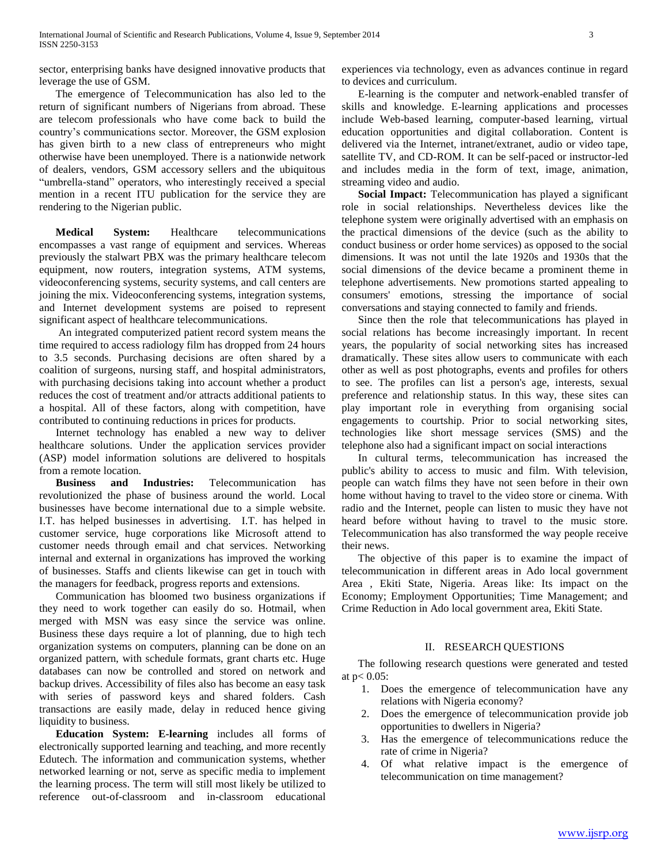sector, enterprising banks have designed innovative products that leverage the use of GSM.

 The emergence of Telecommunication has also led to the return of significant numbers of Nigerians from abroad. These are telecom professionals who have come back to build the country's communications sector. Moreover, the GSM explosion has given birth to a new class of entrepreneurs who might otherwise have been unemployed. There is a nationwide network of dealers, vendors, GSM accessory sellers and the ubiquitous "umbrella-stand" operators, who interestingly received a special mention in a recent ITU publication for the service they are rendering to the Nigerian public.

 **Medical System:** Healthcare telecommunications encompasses a vast range of equipment and services. Whereas previously the stalwart PBX was the primary healthcare telecom equipment, now routers, integration systems, ATM systems, videoconferencing systems, security systems, and call centers are joining the mix. Videoconferencing systems, integration systems, and Internet development systems are poised to represent significant aspect of healthcare telecommunications.

 An integrated computerized patient record system means the time required to access radiology film has dropped from 24 hours to 3.5 seconds. Purchasing decisions are often shared by a coalition of surgeons, nursing staff, and hospital administrators, with purchasing decisions taking into account whether a product reduces the cost of treatment and/or attracts additional patients to a hospital. All of these factors, along with competition, have contributed to continuing reductions in prices for products.

 Internet technology has enabled a new way to deliver healthcare solutions. Under the application services provider (ASP) model information solutions are delivered to hospitals from a remote location.

 **Business and Industries:** Telecommunication has revolutionized the phase of business around the world. Local businesses have become international due to a simple website. I.T. has helped businesses in advertising. I.T. has helped in customer service, huge corporations like Microsoft attend to customer needs through email and chat services. Networking internal and external in organizations has improved the working of businesses. Staffs and clients likewise can get in touch with the managers for feedback, progress reports and extensions.

 Communication has bloomed two business organizations if they need to work together can easily do so. Hotmail, when merged with MSN was easy since the service was online. Business these days require a lot of planning, due to high tech organization systems on computers, planning can be done on an organized pattern, with schedule formats, grant charts etc. Huge databases can now be controlled and stored on network and backup drives. Accessibility of files also has become an easy task with series of password keys and shared folders. Cash transactions are easily made, delay in reduced hence giving liquidity to business.

 **Education System: E-learning** includes all forms of electronically supported learning and teaching, and more recently Edutech. The information and communication systems, whether networked learning or not, serve as specific media to implement the learning process. The term will still most likely be utilized to reference out-of-classroom and in-classroom educational

experiences via technology, even as advances continue in regard to devices and curriculum.

 E-learning is the computer and network-enabled transfer of skills and knowledge. E-learning applications and processes include Web-based learning, computer-based learning, virtual education opportunities and digital collaboration. Content is delivered via the Internet, intranet/extranet, audio or video tape, satellite TV, and CD-ROM. It can be self-paced or instructor-led and includes media in the form of text, image, animation, streaming video and audio.

 **Social Impact:** Telecommunication has played a significant role in social relationships. Nevertheless devices like the telephone system were originally advertised with an emphasis on the practical dimensions of the device (such as the ability to conduct business or order home services) as opposed to the social dimensions. It was not until the late 1920s and 1930s that the social dimensions of the device became a prominent theme in telephone advertisements. New promotions started appealing to consumers' emotions, stressing the importance of social conversations and staying connected to family and friends.

 Since then the role that telecommunications has played in social relations has become increasingly important. In recent years, the popularity of social networking sites has increased dramatically. These sites allow users to communicate with each other as well as post photographs, events and profiles for others to see. The profiles can list a person's age, interests, sexual preference and relationship status. In this way, these sites can play important role in everything from organising social engagements to courtship. Prior to social networking sites, technologies like short message services (SMS) and the telephone also had a significant impact on social interactions

 In cultural terms, telecommunication has increased the public's ability to access to music and film. With television, people can watch films they have not seen before in their own home without having to travel to the video store or cinema. With radio and the Internet, people can listen to music they have not heard before without having to travel to the music store. Telecommunication has also transformed the way people receive their news.

 The objective of this paper is to examine the impact of telecommunication in different areas in Ado local government Area , Ekiti State, Nigeria. Areas like: Its impact on the Economy; Employment Opportunities; Time Management; and Crime Reduction in Ado local government area, Ekiti State.

#### II. RESEARCH QUESTIONS

 The following research questions were generated and tested at p< 0.05:

- 1. Does the emergence of telecommunication have any relations with Nigeria economy?
- 2. Does the emergence of telecommunication provide job opportunities to dwellers in Nigeria?
- 3. Has the emergence of telecommunications reduce the rate of crime in Nigeria?
- 4. Of what relative impact is the emergence of telecommunication on time management?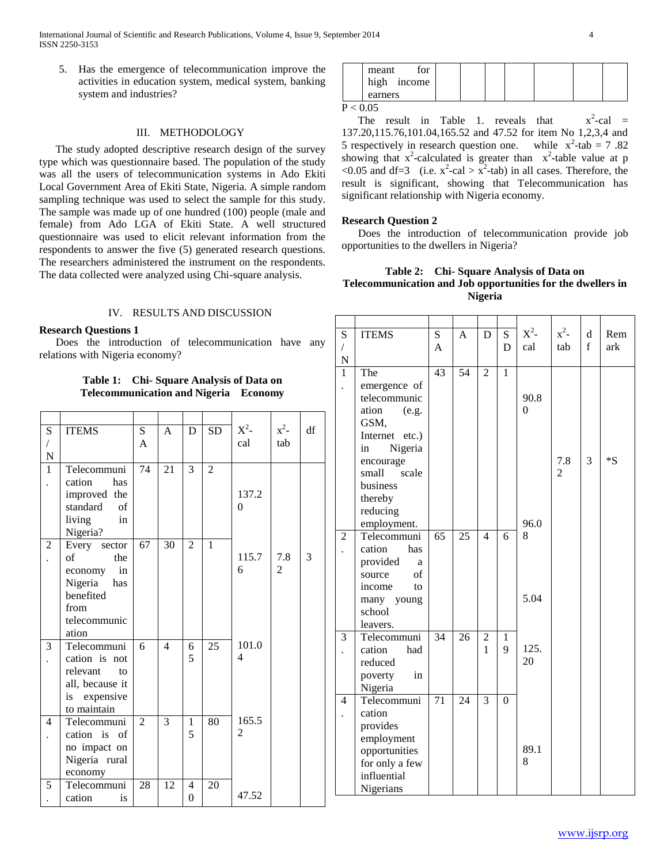International Journal of Scientific and Research Publications, Volume 4, Issue 9, September 2014 4 ISSN 2250-3153

5. Has the emergence of telecommunication improve the activities in education system, medical system, banking system and industries?

### III. METHODOLOGY

 The study adopted descriptive research design of the survey type which was questionnaire based. The population of the study was all the users of telecommunication systems in Ado Ekiti Local Government Area of Ekiti State, Nigeria. A simple random sampling technique was used to select the sample for this study. The sample was made up of one hundred (100) people (male and female) from Ado LGA of Ekiti State. A well structured questionnaire was used to elicit relevant information from the respondents to answer the five (5) generated research questions. The researchers administered the instrument on the respondents. The data collected were analyzed using Chi-square analysis.

#### IV. RESULTS AND DISCUSSION

### **Research Questions 1**

 Does the introduction of telecommunication have any relations with Nigeria economy?

| Table 1: Chi-Square Analysis of Data on |  |
|-----------------------------------------|--|
| Telecommunication and Nigeria Economy   |  |

| S                        | <b>ITEMS</b>             | S              | $\mathsf{A}$   | D                | <b>SD</b>      | $X^2$ -        | $x^2$ -        | df |
|--------------------------|--------------------------|----------------|----------------|------------------|----------------|----------------|----------------|----|
| $\sqrt{2}$               |                          | A              |                |                  |                | cal            | tab            |    |
| $\overline{N}$           |                          |                |                |                  |                |                |                |    |
| $\mathbf{1}$             | Telecommuni              | 74             | 21             | 3                | $\overline{2}$ |                |                |    |
|                          | cation<br>has            |                |                |                  |                |                |                |    |
|                          | improved the             |                |                |                  |                | 137.2          |                |    |
|                          | standard<br>$\sigma$ f   |                |                |                  |                | $\theta$       |                |    |
|                          | living<br>in             |                |                |                  |                |                |                |    |
|                          | Nigeria?                 |                |                |                  |                |                |                |    |
| $\overline{2}$           | Every sector             | 67             | 30             | $\overline{2}$   | $\mathbf{1}$   | 115.7          | 7.8            | 3  |
|                          | of<br>the                |                |                |                  |                | 6              | $\overline{2}$ |    |
|                          | in<br>economy            |                |                |                  |                |                |                |    |
|                          | Nigeria has<br>benefited |                |                |                  |                |                |                |    |
|                          | from                     |                |                |                  |                |                |                |    |
|                          | telecommunic             |                |                |                  |                |                |                |    |
|                          | ation                    |                |                |                  |                |                |                |    |
| 3                        | Telecommuni              | 6              | $\overline{4}$ | 6                | 25             | 101.0          |                |    |
|                          | cation is not            |                |                | 5                |                | 4              |                |    |
|                          | relevant<br>to           |                |                |                  |                |                |                |    |
|                          | all, because it          |                |                |                  |                |                |                |    |
|                          | expensive<br>is          |                |                |                  |                |                |                |    |
|                          | to maintain              |                |                |                  |                |                |                |    |
| $\overline{\mathcal{L}}$ | Telecommuni              | $\overline{2}$ | 3              | 1                | 80             | 165.5          |                |    |
|                          | cation is<br>- of        |                |                | 5                |                | $\overline{2}$ |                |    |
|                          | no impact on             |                |                |                  |                |                |                |    |
|                          | Nigeria rural            |                |                |                  |                |                |                |    |
|                          | economy                  |                |                |                  |                |                |                |    |
| 5                        | Telecommuni              | 28             | 12             | $\overline{4}$   | 20             |                |                |    |
|                          | cation<br>is             |                |                | $\boldsymbol{0}$ |                | 47.52          |                |    |

|   | meant<br>ror |  |  |  |  |
|---|--------------|--|--|--|--|
|   | high income  |  |  |  |  |
|   | earners      |  |  |  |  |
| P | $\Omega$     |  |  |  |  |

The result in Table 1. reveals that  $x^2$ -cal = 137.20,115.76,101.04,165.52 and 47.52 for item No 1,2,3,4 and 5 respectively in research question one. while  $x^2$ -tab = 7.82 showing that  $x^2$ -calculated is greater than  $x^2$ -table value at p <0.05 and df=3 (i.e.  $x^2$ -cal >  $x^2$ -tab) in all cases. Therefore, the result is significant, showing that Telecommunication has significant relationship with Nigeria economy.

#### **Research Question 2**

 Does the introduction of telecommunication provide job opportunities to the dwellers in Nigeria?

### **Table 2: Chi- Square Analysis of Data on Telecommunication and Job opportunities for the dwellers in Nigeria**

| S<br>$\sqrt{2}$ | <b>ITEMS</b>                                   | S<br>A | $\mathsf{A}$    | D                              | S<br>D           | $X^2$ -<br>cal   | $x^2$ -<br>tab | $\mathbf d$<br>f | Rem<br>ark |
|-----------------|------------------------------------------------|--------|-----------------|--------------------------------|------------------|------------------|----------------|------------------|------------|
| N               |                                                |        |                 |                                |                  |                  |                |                  |            |
| 1               | The                                            | 43     | 54              | $\overline{2}$                 | $\mathbf{1}$     |                  |                |                  |            |
|                 | emergence of<br>telecommunic<br>ation<br>(e.g. |        |                 |                                |                  | 90.8<br>$\theta$ |                |                  |            |
|                 | GSM,                                           |        |                 |                                |                  |                  |                |                  |            |
|                 | Internet etc.)<br>Nigeria<br>in                |        |                 |                                |                  |                  |                |                  |            |
|                 | encourage                                      |        |                 |                                |                  |                  | 7.8            | 3                | $*_{S}$    |
|                 | scale<br>small                                 |        |                 |                                |                  |                  | $\overline{2}$ |                  |            |
|                 | business<br>thereby                            |        |                 |                                |                  |                  |                |                  |            |
|                 | reducing                                       |        |                 |                                |                  |                  |                |                  |            |
|                 | employment.                                    |        |                 |                                |                  | 96.0             |                |                  |            |
| $\overline{c}$  | Telecommuni<br>cation<br>has                   | 65     | 25              | $\overline{4}$                 | 6                | 8                |                |                  |            |
|                 | provided<br>a                                  |        |                 |                                |                  |                  |                |                  |            |
|                 | of<br>source<br>income<br>to                   |        |                 |                                |                  |                  |                |                  |            |
|                 | many young                                     |        |                 |                                |                  | 5.04             |                |                  |            |
|                 | school                                         |        |                 |                                |                  |                  |                |                  |            |
|                 | leavers.                                       |        |                 |                                |                  |                  |                |                  |            |
| 3               | Telecommuni<br>cation<br>had                   | 34     | 26              | $\overline{2}$<br>$\mathbf{1}$ | 1<br>9           | 125.             |                |                  |            |
|                 | reduced                                        |        |                 |                                |                  | 20               |                |                  |            |
|                 | in<br>poverty                                  |        |                 |                                |                  |                  |                |                  |            |
|                 | Nigeria                                        |        |                 |                                |                  |                  |                |                  |            |
| $\overline{4}$  | Telecommuni<br>cation                          | 71     | $\overline{24}$ | 3                              | $\boldsymbol{0}$ |                  |                |                  |            |
|                 | provides                                       |        |                 |                                |                  |                  |                |                  |            |
|                 | employment                                     |        |                 |                                |                  |                  |                |                  |            |
|                 | opportunities                                  |        |                 |                                |                  | 89.1             |                |                  |            |
|                 | for only a few                                 |        |                 |                                |                  | 8                |                |                  |            |
|                 | influential                                    |        |                 |                                |                  |                  |                |                  |            |
|                 | Nigerians                                      |        |                 |                                |                  |                  |                |                  |            |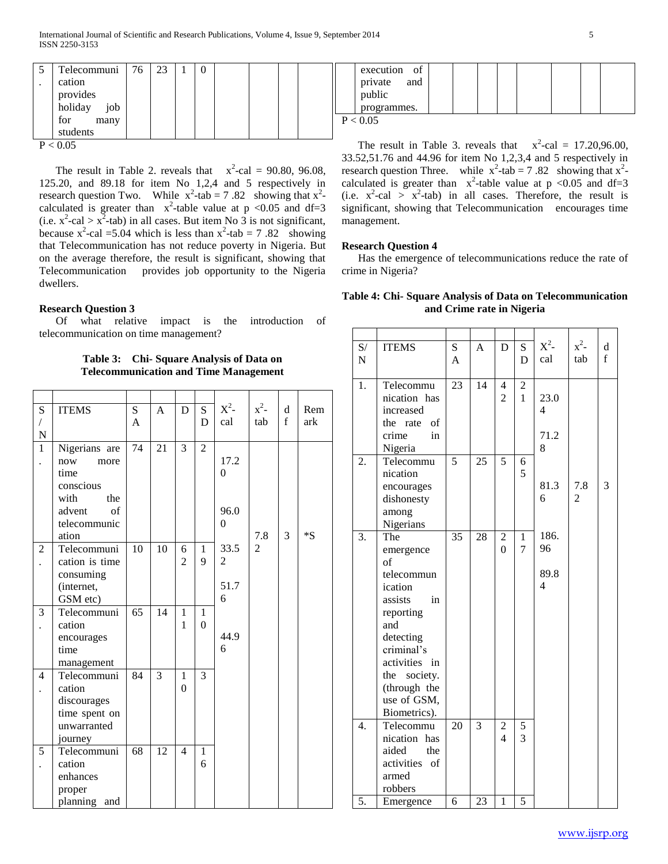|        | Telecommuni 76<br>cation                  | 23 |  |  |  |  |
|--------|-------------------------------------------|----|--|--|--|--|
|        | provides                                  |    |  |  |  |  |
|        | holiday<br>$\frac{1}{10b}$<br>many<br>for |    |  |  |  |  |
| $\sim$ | students<br>$\sim$ $\sim$ $\sim$          |    |  |  |  |  |

 $P < 0.05$ 

The result in Table 2. reveals that  $x^2$ -cal = 90.80, 96.08, 125.20, and 89.18 for item No 1,2,4 and 5 respectively in research question Two. While  $x^2$ -tab = 7.82 showing that  $x^2$ calculated is greater than  $x^2$ -table value at p <0.05 and df=3 (i.e.  $x^2$ -cal >  $x^2$ -tab) in all cases. But item No 3 is not significant, because  $x^2$ -cal = 5.04 which is less than  $x^2$ -tab = 7.82 showing that Telecommunication has not reduce poverty in Nigeria. But on the average therefore, the result is significant, showing that Telecommunication provides job opportunity to the Nigeria dwellers.

#### **Research Question 3**

 Of what relative impact is the introduction of telecommunication on time management?

**Table 3: Chi- Square Analysis of Data on Telecommunication and Time Management**

| S<br>$\sqrt{2}$<br>${\bf N}$ | <b>ITEMS</b>                                                                                              | S<br>A | $\mathsf{A}$ | D                                | S<br>D         | $X^2$ -<br>cal                               | $x^2$ -<br>tab | d<br>f | Rem<br>ark |
|------------------------------|-----------------------------------------------------------------------------------------------------------|--------|--------------|----------------------------------|----------------|----------------------------------------------|----------------|--------|------------|
| $\mathbf{1}$                 | Nigerians are<br>now<br>more<br>time<br>conscious<br>with<br>the<br>advent<br>of<br>telecommunic<br>ation | 74     | 21           | 3                                | $\overline{2}$ | 17.2<br>$\theta$<br>96.0<br>$\boldsymbol{0}$ | 7.8            | 3      | ${}^*S$    |
| $\overline{2}$               | Telecommuni<br>cation is time<br>consuming<br>(internet,<br>GSM etc)                                      | 10     | 10           | 6<br>$\overline{2}$              | 1<br>9         | 33.5<br>$\overline{c}$<br>51.7<br>6          | $\overline{2}$ |        |            |
| 3                            | Telecommuni<br>cation<br>encourages<br>time<br>management                                                 | 65     | 14           | $\mathbf{1}$<br>1                | 1<br>$\Omega$  | 44.9<br>6                                    |                |        |            |
| $\overline{4}$               | Telecommuni<br>cation<br>discourages<br>time spent on<br>unwarranted<br>journey                           | 84     | 3            | $\mathbf{1}$<br>$\boldsymbol{0}$ | 3              |                                              |                |        |            |
| 5                            | Telecommuni<br>cation<br>enhances<br>proper<br>planning and                                               | 68     | 12           | $\overline{4}$                   | 1<br>6         |                                              |                |        |            |

|         | execution of |  |  |  |  |
|---------|--------------|--|--|--|--|
| private | and          |  |  |  |  |
| public  |              |  |  |  |  |
|         | programmes.  |  |  |  |  |
| 0.05    |              |  |  |  |  |

The result in Table 3. reveals that  $x^2$ -cal = 17.20,96.00, 33.52,51.76 and 44.96 for item No 1,2,3,4 and 5 respectively in research question Three. while  $x^2$ -tab = 7.82 showing that  $x^2$ calculated is greater than  $x^2$ -table value at p <0.05 and df=3 (i.e.  $x^2$ -cal >  $x^2$ -tab) in all cases. Therefore, the result is significant, showing that Telecommunication encourages time management.

#### **Research Question 4**

 Has the emergence of telecommunications reduce the rate of crime in Nigeria?

## **Table 4: Chi- Square Analysis of Data on Telecommunication and Crime rate in Nigeria**

| $\overline{S}$<br>$\mathbf N$ | <b>ITEMS</b>                                                                                                                                                                                          | S<br>A | A  | $\mathbf D$                      | S<br>D                         | $X^2$ -<br>cal                                 | $x^2$ -<br>tab        | d<br>$f_{\rm}$ |
|-------------------------------|-------------------------------------------------------------------------------------------------------------------------------------------------------------------------------------------------------|--------|----|----------------------------------|--------------------------------|------------------------------------------------|-----------------------|----------------|
| 1.                            | Telecommu<br>nication has<br>increased<br>the rate<br>of<br>in<br>crime<br>Nigeria                                                                                                                    | 23     | 14 | 4<br>$\overline{2}$              | $\overline{c}$<br>$\mathbf{1}$ | 23.0<br>$\overline{4}$<br>71.2<br>8            |                       |                |
| 2.                            | Telecommu<br>nication<br>encourages<br>dishonesty<br>among<br>Nigerians                                                                                                                               | 5      | 25 | 5                                | 6<br>5                         | 81.3<br>6                                      | 7.8<br>$\overline{c}$ | 3              |
| 3.                            | The<br>emergence<br>of<br>telecommun<br>ication<br>assists<br>in<br>reporting<br>and<br>detecting<br>criminal's<br>activities<br>in<br>society.<br>the<br>(through the<br>use of GSM,<br>Biometrics). | 35     | 28 | $\overline{2}$<br>$\overline{0}$ | $\mathbf{1}$<br>$\overline{7}$ | 186.<br>96<br>89.8<br>$\overline{\mathcal{L}}$ |                       |                |
| $\overline{4}$ .              | Telecommu<br>nication<br>has<br>aided<br>the<br>activities of<br>armed<br>robbers                                                                                                                     | 20     | 3  | 2<br>$\overline{4}$              | $rac{5}{3}$                    |                                                |                       |                |
| 5.                            | Emergence                                                                                                                                                                                             | 6      | 23 | 1                                | 5                              |                                                |                       |                |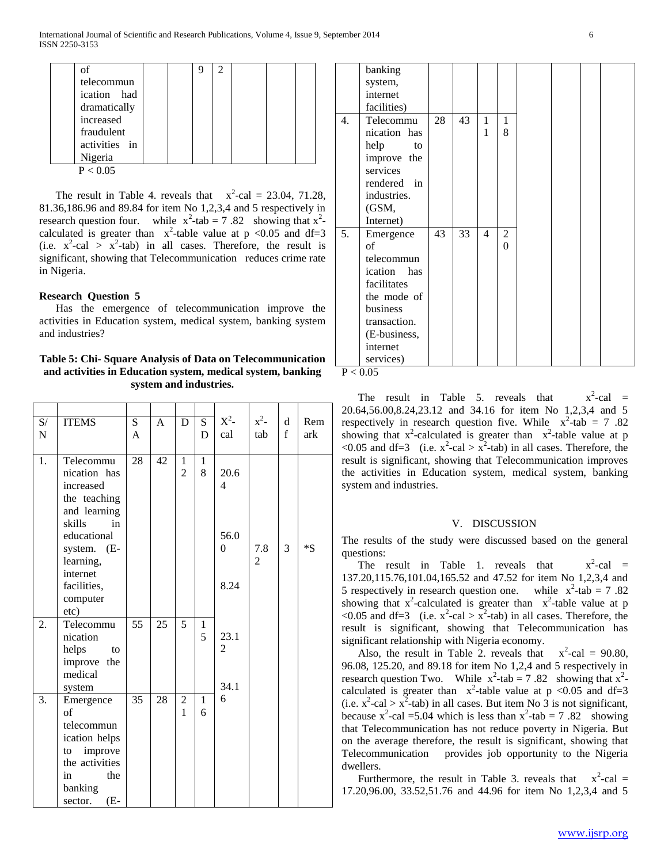| of            |  | 2 |  |  |
|---------------|--|---|--|--|
| telecommun    |  |   |  |  |
| ication had   |  |   |  |  |
| dramatically  |  |   |  |  |
| increased     |  |   |  |  |
| fraudulent    |  |   |  |  |
| activities in |  |   |  |  |
| Nigeria       |  |   |  |  |
| P < 0.05      |  |   |  |  |

The result in Table 4. reveals that  $x^2$ -cal = 23.04, 71.28, 81.36,186.96 and 89.84 for item No 1,2,3,4 and 5 respectively in research question four. while  $x^2$ -tab = 7.82 showing that  $x^2$ calculated is greater than  $x^2$ -table value at p <0.05 and df=3 (i.e.  $x^2$ -cal >  $x^2$ -tab) in all cases. Therefore, the result is significant, showing that Telecommunication reduces crime rate in Nigeria.

#### **Research Question 5**

 Has the emergence of telecommunication improve the activities in Education system, medical system, banking system and industries?

**Table 5: Chi- Square Analysis of Data on Telecommunication and activities in Education system, medical system, banking system and industries.**

| S/               | <b>ITEMS</b>                | S               | A  | $\mathbf D$    | S              | $X^2$ -          | $x^2$ -        | d           | Rem     |
|------------------|-----------------------------|-----------------|----|----------------|----------------|------------------|----------------|-------------|---------|
| N                |                             | A               |    |                | D              | cal              | tab            | $\mathbf f$ | ark     |
| 1.               | Telecommu                   | 28              | 42 | $\mathbf{1}$   | 1              |                  |                |             |         |
|                  | nication has                |                 |    | $\overline{2}$ | 8              | 20.6             |                |             |         |
|                  | increased                   |                 |    |                |                | 4                |                |             |         |
|                  | the teaching                |                 |    |                |                |                  |                |             |         |
|                  | and learning                |                 |    |                |                |                  |                |             |         |
|                  | skills<br>in                |                 |    |                |                |                  |                |             |         |
|                  | educational<br>system. (E-  |                 |    |                |                | 56.0<br>$\theta$ | 7.8            | 3           | ${}^*S$ |
|                  | learning,                   |                 |    |                |                |                  | $\overline{2}$ |             |         |
|                  | internet                    |                 |    |                |                |                  |                |             |         |
|                  | facilities,                 |                 |    |                |                | 8.24             |                |             |         |
|                  | computer                    |                 |    |                |                |                  |                |             |         |
|                  | etc)                        |                 |    |                |                |                  |                |             |         |
| 2.               | Telecommu                   | 55              | 25 | 5              | 1<br>5         | 23.1             |                |             |         |
|                  | nication<br>helps<br>to     |                 |    |                |                | $\overline{2}$   |                |             |         |
|                  | improve the                 |                 |    |                |                |                  |                |             |         |
|                  | medical                     |                 |    |                |                |                  |                |             |         |
|                  | system                      |                 |    |                |                | 34.1             |                |             |         |
| $\overline{3}$ . | Emergence                   | $\overline{35}$ | 28 | $\overline{2}$ | $\overline{1}$ | 6                |                |             |         |
|                  | of                          |                 |    | $\mathbf{1}$   | 6              |                  |                |             |         |
|                  | telecommun<br>ication helps |                 |    |                |                |                  |                |             |         |
|                  | improve<br>to               |                 |    |                |                |                  |                |             |         |
|                  | the activities              |                 |    |                |                |                  |                |             |         |
|                  | the<br>in                   |                 |    |                |                |                  |                |             |         |
|                  | banking                     |                 |    |                |                |                  |                |             |         |
|                  | $(E-$<br>sector.            |                 |    |                |                |                  |                |             |         |

|    | banking      |    |    |                |                |  |  |
|----|--------------|----|----|----------------|----------------|--|--|
|    | system,      |    |    |                |                |  |  |
|    | internet     |    |    |                |                |  |  |
|    | facilities)  |    |    |                |                |  |  |
| 4. | Telecommu    | 28 | 43 | 1              | 1              |  |  |
|    | nication has |    |    | 1              | 8              |  |  |
|    | help<br>to   |    |    |                |                |  |  |
|    | improve the  |    |    |                |                |  |  |
|    | services     |    |    |                |                |  |  |
|    | rendered in  |    |    |                |                |  |  |
|    | industries.  |    |    |                |                |  |  |
|    | (GSM,        |    |    |                |                |  |  |
|    | Internet)    |    |    |                |                |  |  |
| 5. | Emergence    | 43 | 33 | $\overline{4}$ | $\overline{c}$ |  |  |
|    | of           |    |    |                | $\theta$       |  |  |
|    | telecommun   |    |    |                |                |  |  |
|    | ication has  |    |    |                |                |  |  |
|    | facilitates  |    |    |                |                |  |  |
|    | the mode of  |    |    |                |                |  |  |
|    | business     |    |    |                |                |  |  |
|    | transaction. |    |    |                |                |  |  |
|    | (E-business, |    |    |                |                |  |  |
|    | internet     |    |    |                |                |  |  |
|    | services)    |    |    |                |                |  |  |



The result in Table 5. reveals that  $x^2$ -cal  $=$ 20.64,56.00,8.24,23.12 and 34.16 for item No 1,2,3,4 and 5 respectively in research question five. While  $x^2$ -tab = 7.82 showing that  $x^2$ -calculated is greater than  $x^2$ -table value at p <0.05 and df=3 (i.e.  $x^2$ -cal >  $x^2$ -tab) in all cases. Therefore, the result is significant, showing that Telecommunication improves the activities in Education system, medical system, banking system and industries.

#### V. DISCUSSION

The results of the study were discussed based on the general questions:

The result in Table 1. reveals that  $x^2$ -cal = 137.20,115.76,101.04,165.52 and 47.52 for item No 1,2,3,4 and 5 respectively in research question one. while  $x^2$ -tab = 7.82 showing that  $x^2$ -calculated is greater than  $x^2$ -table value at p <0.05 and df=3 (i.e.  $x^2$ -cal >  $x^2$ -tab) in all cases. Therefore, the result is significant, showing that Telecommunication has significant relationship with Nigeria economy.

Also, the result in Table 2. reveals that  $x^2$ -cal = 90.80, 96.08, 125.20, and 89.18 for item No 1,2,4 and 5 respectively in research question Two. While  $x^2$ -tab = 7.82 showing that  $x^2$ calculated is greater than  $x^2$ -table value at p <0.05 and df=3 (i.e.  $x^2$ -cal >  $x^2$ -tab) in all cases. But item No 3 is not significant, because  $x^2$ -cal = 5.04 which is less than  $x^2$ -tab = 7.82 showing that Telecommunication has not reduce poverty in Nigeria. But on the average therefore, the result is significant, showing that Telecommunication provides job opportunity to the Nigeria dwellers.

Furthermore, the result in Table 3. reveals that  $x^2$ -cal = 17.20,96.00, 33.52,51.76 and 44.96 for item No 1,2,3,4 and 5